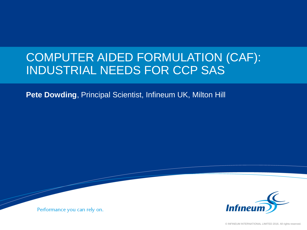# COMPUTER AIDED FORMULATION (CAF): INDUSTRIAL NEEDS FOR CCP SAS

**Pete Dowding**, Principal Scientist, Infineum UK, Milton Hill



Performance you can rely on.

© INFINEUM INTERNATIONAL LIMITED 2016. All rights reserved.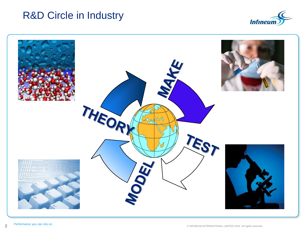#### R&D Circle in Industry



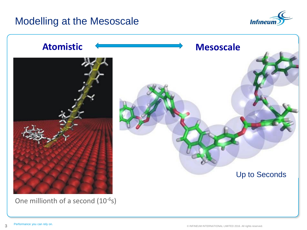#### Modelling at the Mesoscale



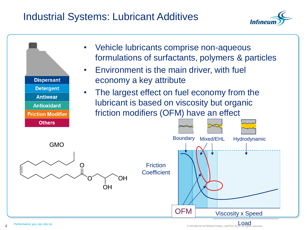# Industrial Systems: Lubricant Additives



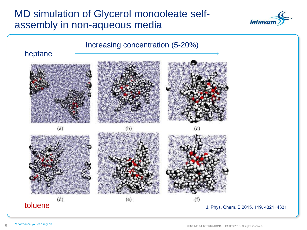### MD simulation of Glycerol monooleate selfassembly in non-aqueous media



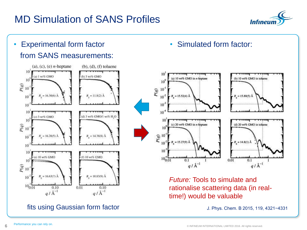# MD Simulation of SANS Profiles



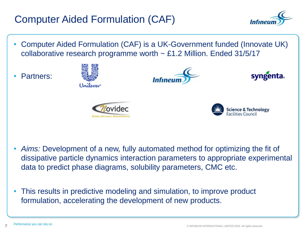# Computer Aided Formulation (CAF)



- Computer Aided Formulation (CAF) is a UK-Government funded (Innovate UK) collaborative research programme worth  $\sim$  £1.2 Million. Ended 31/5/17
- Partners:



- *Aims:* Development of a new, fully automated method for optimizing the fit of dissipative particle dynamics interaction parameters to appropriate experimental data to predict phase diagrams, solubility parameters, CMC etc.
- This results in predictive modeling and simulation, to improve product formulation, accelerating the development of new products.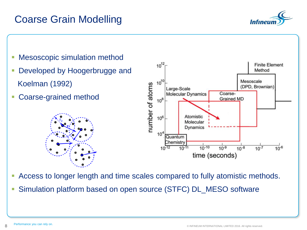### Coarse Grain Modelling



- Mesoscopic simulation method
- Developed by Hoogerbrugge and Koelman (1992)
- Coarse-grained method





- Access to longer length and time scales compared to fully atomistic methods.
- Simulation platform based on open source (STFC) DL\_MESO software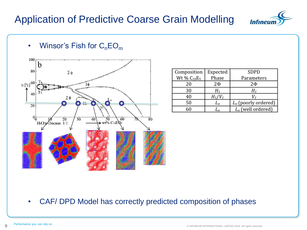# Application of Predictive Coarse Grain Modelling





| Composition      | Expected     | SDPD                          |
|------------------|--------------|-------------------------------|
| Wt % $C_{10}E_5$ | Phase        | Parameters                    |
| 20               | 2ф           | 2Ф                            |
| 30               | $H_{\rm 1}$  | H1                            |
| 40               | $H_1/V_1$    | v,                            |
| 50               | $L_{\alpha}$ | $L_{\alpha}$ (poorly ordered) |
| 60               | $L_{\alpha}$ | $L_{\alpha}$ (well ordered)   |

• CAF/ DPD Model has correctly predicted composition of phases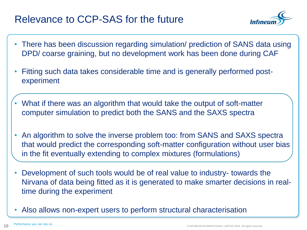### Relevance to CCP-SAS for the future



- There has been discussion regarding simulation/ prediction of SANS data using DPD/ coarse graining, but no development work has been done during CAF
- Fitting such data takes considerable time and is generally performed postexperiment
- What if there was an algorithm that would take the output of soft-matter computer simulation to predict both the SANS and the SAXS spectra
- An algorithm to solve the inverse problem too: from SANS and SAXS spectra that would predict the corresponding soft-matter configuration without user bias in the fit eventually extending to complex mixtures (formulations)
- Development of such tools would be of real value to industry- towards the Nirvana of data being fitted as it is generated to make smarter decisions in realtime during the experiment
- Also allows non-expert users to perform structural characterisation